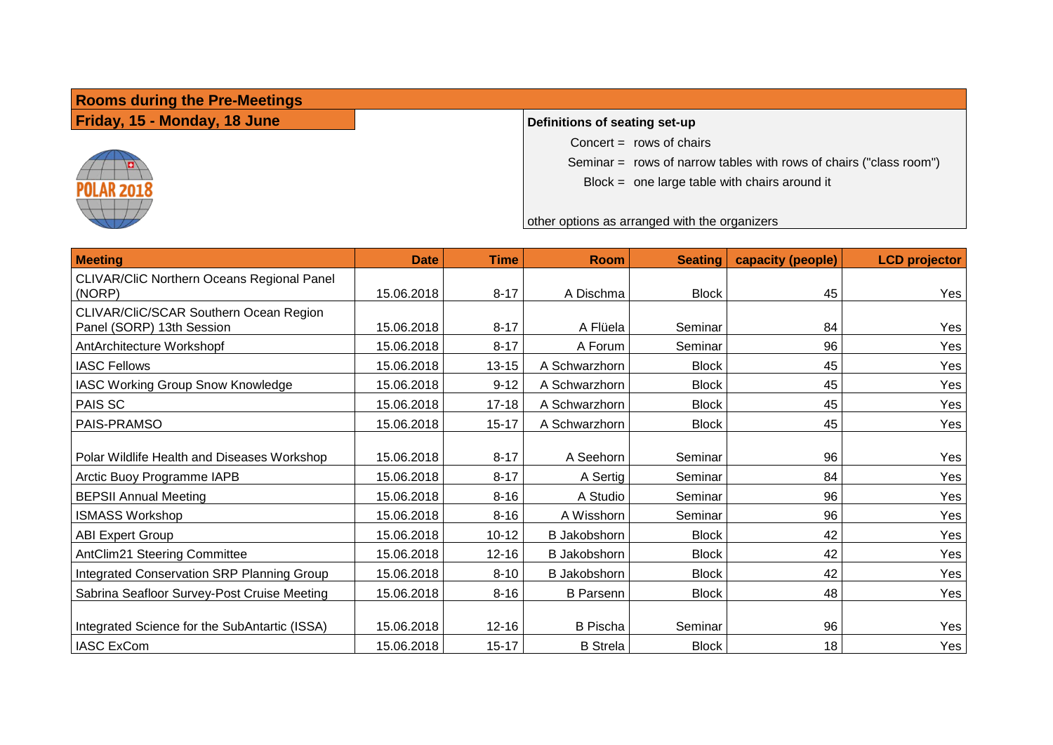**Rooms during the Pre-Meetings**

**Friday, 15 - Monday, 18 June Definitions of seating set-up** 



Concert  $=$  rows of chairs

Seminar = rows of narrow tables with rows of chairs ("class room")

Block = one large table with chairs around it

other options as arranged with the organizers

| <b>Meeting</b>                                                            | <b>Date</b>              | <b>Time</b>            | <b>Room</b>                        | <b>Seating</b>          | capacity (people) | <b>LCD</b> projector |
|---------------------------------------------------------------------------|--------------------------|------------------------|------------------------------------|-------------------------|-------------------|----------------------|
| CLIVAR/CliC Northern Oceans Regional Panel<br>(NORP)                      | 15.06.2018               | $8 - 17$               | A Dischma                          | <b>Block</b>            | 45                | Yes                  |
| CLIVAR/CliC/SCAR Southern Ocean Region<br>Panel (SORP) 13th Session       | 15.06.2018               | $8 - 17$               | A Flüela                           | Seminar                 | 84                | Yes                  |
| AntArchitecture Workshopf                                                 | 15.06.2018               | $8 - 17$               | A Forum                            | Seminar                 | 96                | Yes                  |
| <b>IASC Fellows</b>                                                       | 15.06.2018               | $13 - 15$              | A Schwarzhorn                      | <b>Block</b>            | 45                | Yes                  |
| IASC Working Group Snow Knowledge                                         | 15.06.2018               | $9 - 12$               | A Schwarzhorn                      | <b>Block</b>            | 45                | Yes                  |
| PAIS SC                                                                   | 15.06.2018               | $17 - 18$              | A Schwarzhorn                      | <b>Block</b>            | 45                | Yes                  |
| PAIS-PRAMSO                                                               | 15.06.2018               | $15 - 17$              | A Schwarzhorn                      | <b>Block</b>            | 45                | Yes                  |
| Polar Wildlife Health and Diseases Workshop<br>Arctic Buoy Programme IAPB | 15.06.2018<br>15.06.2018 | $8 - 17$<br>$8 - 17$   | A Seehorn<br>A Sertig              | Seminar<br>Seminar      | 96<br>84          | Yes<br>Yes           |
| <b>BEPSII Annual Meeting</b>                                              | 15.06.2018               | $8 - 16$               | A Studio                           | Seminar                 | 96                | Yes                  |
| <b>ISMASS Workshop</b>                                                    | 15.06.2018               | $8 - 16$               | A Wisshorn                         | Seminar                 | 96                | Yes                  |
| <b>ABI Expert Group</b>                                                   | 15.06.2018               | $10 - 12$              | <b>B</b> Jakobshorn                | <b>Block</b>            | 42                | Yes                  |
| AntClim21 Steering Committee                                              | 15.06.2018               | $12 - 16$              | <b>B</b> Jakobshorn                | <b>Block</b>            | 42                | Yes                  |
| Integrated Conservation SRP Planning Group                                | 15.06.2018               | $8 - 10$               | <b>B</b> Jakobshorn                | <b>Block</b>            | 42                | Yes                  |
| Sabrina Seafloor Survey-Post Cruise Meeting                               | 15.06.2018               | $8 - 16$               | <b>B</b> Parsenn                   | <b>Block</b>            | 48                | Yes                  |
| Integrated Science for the SubAntartic (ISSA)<br><b>IASC ExCom</b>        | 15.06.2018<br>15.06.2018 | $12 - 16$<br>$15 - 17$ | <b>B</b> Pischa<br><b>B</b> Strela | Seminar<br><b>Block</b> | 96<br>18          | Yes<br>Yes           |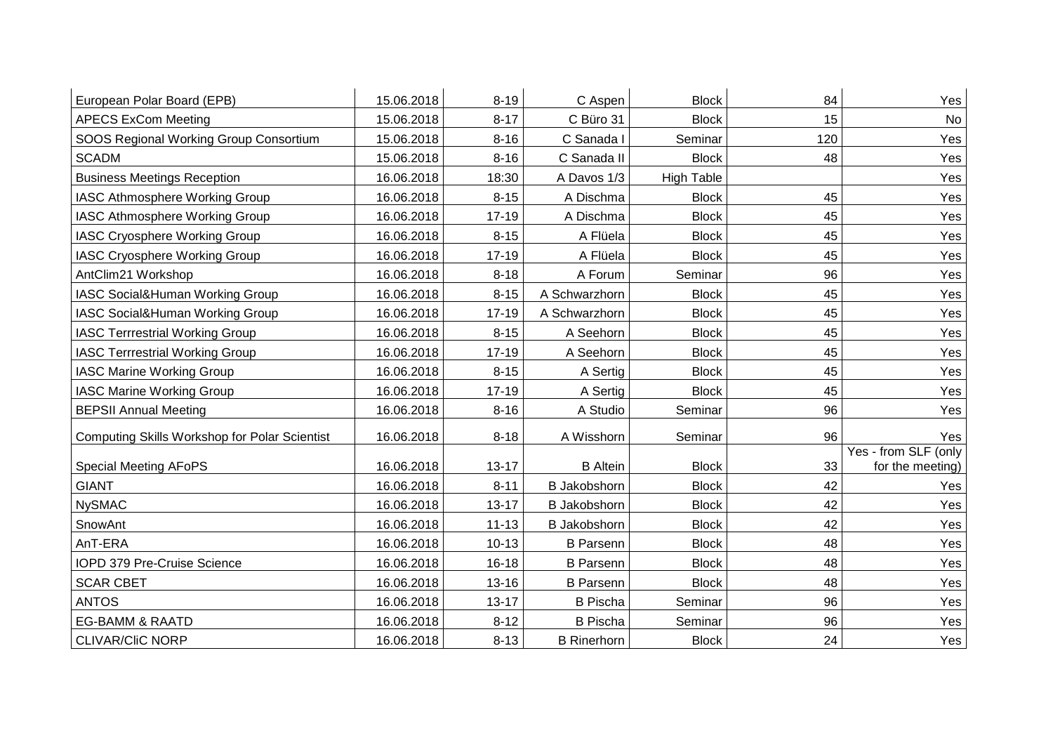| European Polar Board (EPB)                           | 15.06.2018 | $8 - 19$  | C Aspen             | <b>Block</b>      | 84  | Yes                                      |
|------------------------------------------------------|------------|-----------|---------------------|-------------------|-----|------------------------------------------|
| <b>APECS ExCom Meeting</b>                           | 15.06.2018 | $8 - 17$  | C Büro 31           | <b>Block</b>      | 15  | No                                       |
| SOOS Regional Working Group Consortium               | 15.06.2018 | $8 - 16$  | C Sanada I          | Seminar           | 120 | Yes                                      |
| <b>SCADM</b>                                         | 15.06.2018 | $8 - 16$  | C Sanada II         | <b>Block</b>      | 48  | Yes                                      |
| <b>Business Meetings Reception</b>                   | 16.06.2018 | 18:30     | A Davos 1/3         | <b>High Table</b> |     | Yes                                      |
| IASC Athmosphere Working Group                       | 16.06.2018 | $8 - 15$  | A Dischma           | <b>Block</b>      | 45  | Yes                                      |
| IASC Athmosphere Working Group                       | 16.06.2018 | $17 - 19$ | A Dischma           | <b>Block</b>      | 45  | Yes                                      |
| IASC Cryosphere Working Group                        | 16.06.2018 | $8 - 15$  | A Flüela            | <b>Block</b>      | 45  | Yes                                      |
| <b>IASC Cryosphere Working Group</b>                 | 16.06.2018 | $17 - 19$ | A Flüela            | <b>Block</b>      | 45  | Yes                                      |
| AntClim21 Workshop                                   | 16.06.2018 | $8 - 18$  | A Forum             | Seminar           | 96  | Yes                                      |
| IASC Social&Human Working Group                      | 16.06.2018 | $8 - 15$  | A Schwarzhorn       | <b>Block</b>      | 45  | Yes                                      |
| IASC Social&Human Working Group                      | 16.06.2018 | $17 - 19$ | A Schwarzhorn       | <b>Block</b>      | 45  | Yes                                      |
| <b>IASC Terrrestrial Working Group</b>               | 16.06.2018 | $8 - 15$  | A Seehorn           | <b>Block</b>      | 45  | Yes                                      |
| <b>IASC Terrrestrial Working Group</b>               | 16.06.2018 | $17 - 19$ | A Seehorn           | <b>Block</b>      | 45  | Yes                                      |
| <b>IASC Marine Working Group</b>                     | 16.06.2018 | $8 - 15$  | A Sertig            | <b>Block</b>      | 45  | Yes                                      |
| <b>IASC Marine Working Group</b>                     | 16.06.2018 | $17 - 19$ | A Sertig            | <b>Block</b>      | 45  | Yes                                      |
| <b>BEPSII Annual Meeting</b>                         | 16.06.2018 | $8 - 16$  | A Studio            | Seminar           | 96  | Yes                                      |
| <b>Computing Skills Workshop for Polar Scientist</b> | 16.06.2018 | $8 - 18$  | A Wisshorn          | Seminar           | 96  | Yes                                      |
| <b>Special Meeting AFoPS</b>                         | 16.06.2018 | $13 - 17$ | <b>B</b> Altein     | <b>Block</b>      | 33  | Yes - from SLF (only<br>for the meeting) |
| <b>GIANT</b>                                         | 16.06.2018 | $8 - 11$  | <b>B</b> Jakobshorn | <b>Block</b>      | 42  | Yes                                      |
| <b>NySMAC</b>                                        | 16.06.2018 | $13 - 17$ | <b>B</b> Jakobshorn | <b>Block</b>      | 42  | Yes                                      |
| SnowAnt                                              | 16.06.2018 | $11 - 13$ | <b>B</b> Jakobshorn | <b>Block</b>      | 42  | Yes                                      |
| AnT-ERA                                              | 16.06.2018 | $10 - 13$ | <b>B</b> Parsenn    | <b>Block</b>      | 48  | Yes                                      |
| IOPD 379 Pre-Cruise Science                          | 16.06.2018 | $16 - 18$ | <b>B</b> Parsenn    | <b>Block</b>      | 48  | Yes                                      |
| <b>SCAR CBET</b>                                     | 16.06.2018 | 13-16     | <b>B</b> Parsenn    | <b>Block</b>      | 48  | Yes                                      |
| <b>ANTOS</b>                                         | 16.06.2018 | $13 - 17$ | <b>B</b> Pischa     | Seminar           | 96  | Yes                                      |
| <b>EG-BAMM &amp; RAATD</b>                           | 16.06.2018 | $8 - 12$  | <b>B</b> Pischa     | Seminar           | 96  | Yes                                      |
| <b>CLIVAR/CIIC NORP</b>                              | 16.06.2018 | $8 - 13$  | <b>B</b> Rinerhorn  | <b>Block</b>      | 24  | Yes                                      |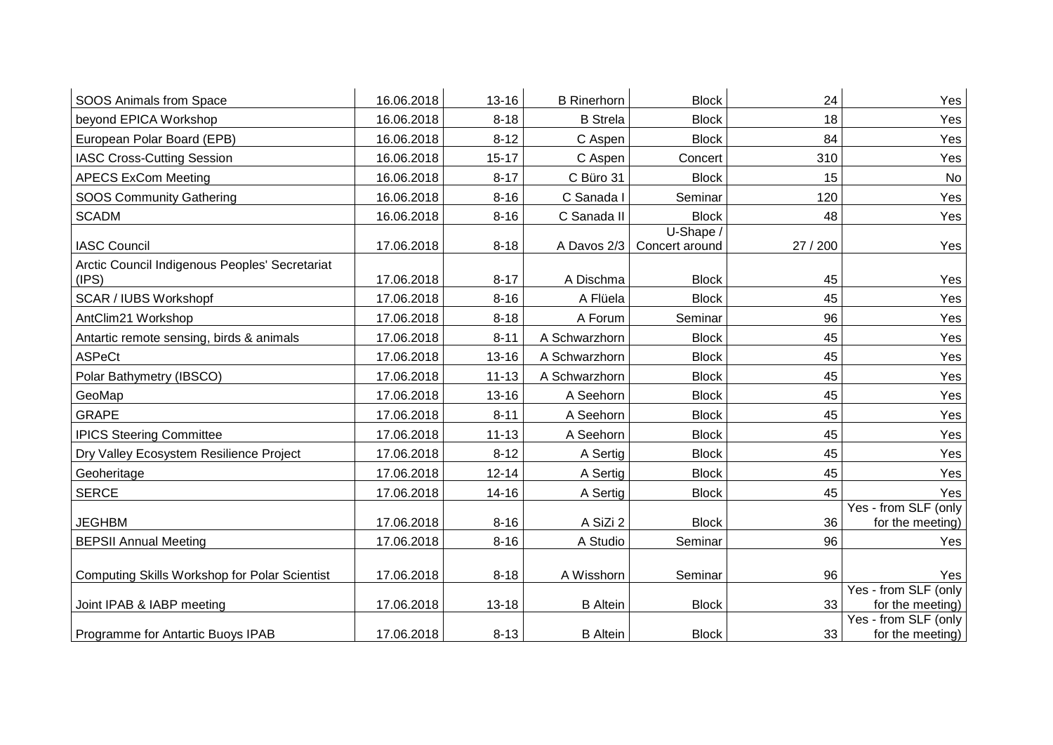| SOOS Animals from Space                                 | 16.06.2018 | $13 - 16$ | <b>B</b> Rinerhorn | <b>Block</b>                | 24       | Yes                                      |
|---------------------------------------------------------|------------|-----------|--------------------|-----------------------------|----------|------------------------------------------|
| beyond EPICA Workshop                                   | 16.06.2018 | $8 - 18$  | <b>B</b> Strela    | <b>Block</b>                | 18       | Yes                                      |
| European Polar Board (EPB)                              | 16.06.2018 | $8 - 12$  | C Aspen            | <b>Block</b>                | 84       | Yes                                      |
| <b>IASC Cross-Cutting Session</b>                       | 16.06.2018 | $15 - 17$ | C Aspen            | Concert                     | 310      | Yes                                      |
| <b>APECS ExCom Meeting</b>                              | 16.06.2018 | $8 - 17$  | C Büro 31          | <b>Block</b>                | 15       | No                                       |
| <b>SOOS Community Gathering</b>                         | 16.06.2018 | $8 - 16$  | C Sanada I         | Seminar                     | 120      | Yes                                      |
| <b>SCADM</b>                                            | 16.06.2018 | $8 - 16$  | C Sanada II        | <b>Block</b>                | 48       | Yes                                      |
| <b>IASC Council</b>                                     | 17.06.2018 | $8 - 18$  | A Davos 2/3        | U-Shape /<br>Concert around | 27 / 200 | Yes                                      |
| Arctic Council Indigenous Peoples' Secretariat<br>(IPS) | 17.06.2018 | $8 - 17$  | A Dischma          | <b>Block</b>                | 45       | Yes                                      |
| <b>SCAR / IUBS Workshopf</b>                            | 17.06.2018 | $8 - 16$  | A Flüela           | <b>Block</b>                | 45       | Yes                                      |
| AntClim21 Workshop                                      | 17.06.2018 | $8 - 18$  | A Forum            | Seminar                     | 96       | Yes                                      |
| Antartic remote sensing, birds & animals                | 17.06.2018 | $8 - 11$  | A Schwarzhorn      | <b>Block</b>                | 45       | Yes                                      |
| <b>ASPeCt</b>                                           | 17.06.2018 | $13 - 16$ | A Schwarzhorn      | <b>Block</b>                | 45       | Yes                                      |
| Polar Bathymetry (IBSCO)                                | 17.06.2018 | $11 - 13$ | A Schwarzhorn      | <b>Block</b>                | 45       | Yes                                      |
| GeoMap                                                  | 17.06.2018 | $13 - 16$ | A Seehorn          | <b>Block</b>                | 45       | Yes                                      |
| <b>GRAPE</b>                                            | 17.06.2018 | $8 - 11$  | A Seehorn          | <b>Block</b>                | 45       | Yes                                      |
| <b>IPICS Steering Committee</b>                         | 17.06.2018 | $11 - 13$ | A Seehorn          | <b>Block</b>                | 45       | Yes                                      |
| Dry Valley Ecosystem Resilience Project                 | 17.06.2018 | $8 - 12$  | A Sertig           | <b>Block</b>                | 45       | Yes                                      |
| Geoheritage                                             | 17.06.2018 | $12 - 14$ | A Sertig           | <b>Block</b>                | 45       | Yes                                      |
| <b>SERCE</b>                                            | 17.06.2018 | $14 - 16$ | A Sertig           | <b>Block</b>                | 45       | Yes                                      |
| <b>JEGHBM</b>                                           | 17.06.2018 | $8 - 16$  | A SiZi 2           | <b>Block</b>                | 36       | Yes - from SLF (only<br>for the meeting) |
| <b>BEPSII Annual Meeting</b>                            | 17.06.2018 | $8 - 16$  | A Studio           | Seminar                     | 96       | Yes                                      |
| <b>Computing Skills Workshop for Polar Scientist</b>    | 17.06.2018 | $8 - 18$  | A Wisshorn         | Seminar                     | 96       | Yes                                      |
| Joint IPAB & IABP meeting                               | 17.06.2018 | $13 - 18$ | <b>B</b> Altein    | <b>Block</b>                | 33       | Yes - from SLF (only<br>for the meeting) |
| Programme for Antartic Buoys IPAB                       | 17.06.2018 | $8 - 13$  | <b>B</b> Altein    | <b>Block</b>                | 33       | Yes - from SLF (only<br>for the meeting) |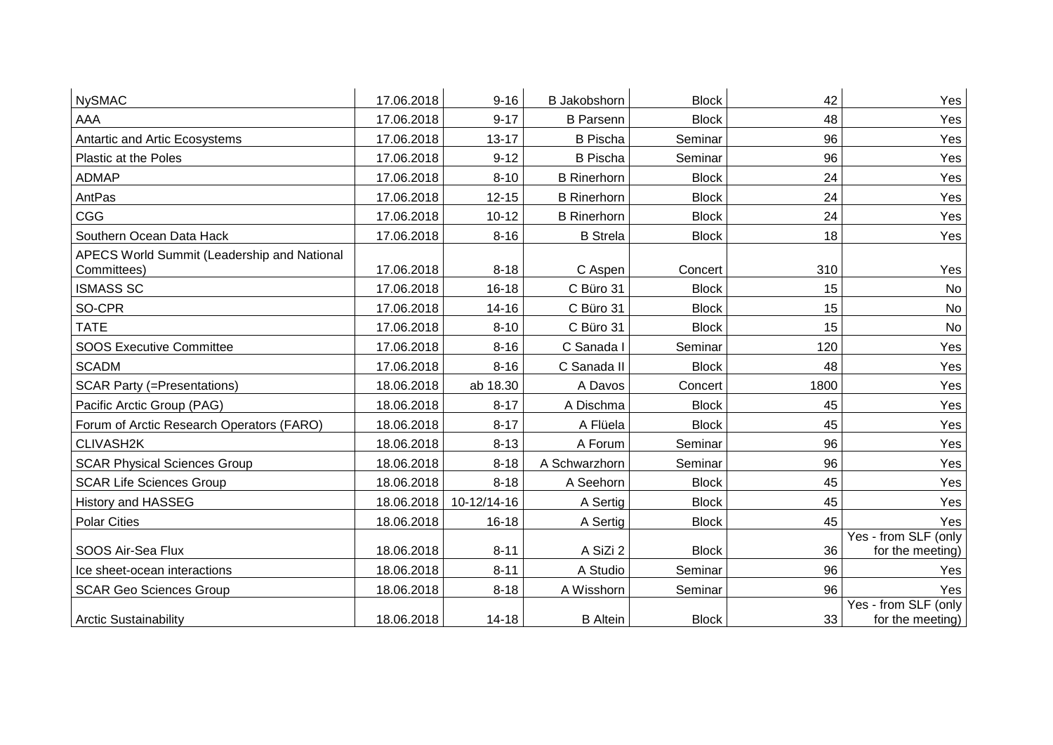| <b>NySMAC</b>                               | 17.06.2018 | $9 - 16$    | <b>B</b> Jakobshorn | <b>Block</b> | 42   | Yes                                      |
|---------------------------------------------|------------|-------------|---------------------|--------------|------|------------------------------------------|
| AAA                                         | 17.06.2018 | $9 - 17$    | <b>B</b> Parsenn    | <b>Block</b> | 48   | Yes                                      |
| Antartic and Artic Ecosystems               | 17.06.2018 | $13 - 17$   | <b>B</b> Pischa     | Seminar      | 96   | Yes                                      |
| Plastic at the Poles                        | 17.06.2018 | $9 - 12$    | <b>B</b> Pischa     | Seminar      | 96   | Yes                                      |
| <b>ADMAP</b>                                | 17.06.2018 | $8 - 10$    | <b>B</b> Rinerhorn  | <b>Block</b> | 24   | Yes                                      |
| AntPas                                      | 17.06.2018 | $12 - 15$   | <b>B</b> Rinerhorn  | <b>Block</b> | 24   | Yes                                      |
| CGG                                         | 17.06.2018 | $10 - 12$   | <b>B</b> Rinerhorn  | <b>Block</b> | 24   | Yes                                      |
| Southern Ocean Data Hack                    | 17.06.2018 | $8 - 16$    | <b>B</b> Strela     | <b>Block</b> | 18   | Yes                                      |
| APECS World Summit (Leadership and National |            |             |                     |              |      |                                          |
| Committees)                                 | 17.06.2018 | $8 - 18$    | C Aspen             | Concert      | 310  | Yes                                      |
| <b>ISMASS SC</b>                            | 17.06.2018 | $16 - 18$   | C Büro 31           | <b>Block</b> | 15   | No                                       |
| SO-CPR                                      | 17.06.2018 | $14 - 16$   | C Büro 31           | <b>Block</b> | 15   | No                                       |
| <b>TATE</b>                                 | 17.06.2018 | $8 - 10$    | C Büro 31           | <b>Block</b> | 15   | No                                       |
| <b>SOOS Executive Committee</b>             | 17.06.2018 | $8 - 16$    | C Sanada I          | Seminar      | 120  | Yes                                      |
| <b>SCADM</b>                                | 17.06.2018 | $8 - 16$    | C Sanada II         | <b>Block</b> | 48   | Yes                                      |
| <b>SCAR Party (=Presentations)</b>          | 18.06.2018 | ab 18.30    | A Davos             | Concert      | 1800 | Yes                                      |
| Pacific Arctic Group (PAG)                  | 18.06.2018 | $8 - 17$    | A Dischma           | <b>Block</b> | 45   | Yes                                      |
| Forum of Arctic Research Operators (FARO)   | 18.06.2018 | $8 - 17$    | A Flüela            | <b>Block</b> | 45   | Yes                                      |
| CLIVASH2K                                   | 18.06.2018 | $8 - 13$    | A Forum             | Seminar      | 96   | Yes                                      |
| <b>SCAR Physical Sciences Group</b>         | 18.06.2018 | $8 - 18$    | A Schwarzhorn       | Seminar      | 96   | Yes                                      |
| <b>SCAR Life Sciences Group</b>             | 18.06.2018 | $8 - 18$    | A Seehorn           | <b>Block</b> | 45   | Yes                                      |
| History and HASSEG                          | 18.06.2018 | 10-12/14-16 | A Sertig            | <b>Block</b> | 45   | Yes                                      |
| <b>Polar Cities</b>                         | 18.06.2018 | $16 - 18$   | A Sertig            | <b>Block</b> | 45   | Yes                                      |
| SOOS Air-Sea Flux                           | 18.06.2018 | $8 - 11$    | A SiZi 2            | <b>Block</b> | 36   | Yes - from SLF (only<br>for the meeting) |
| Ice sheet-ocean interactions                | 18.06.2018 | $8 - 11$    | A Studio            | Seminar      | 96   | Yes                                      |
| <b>SCAR Geo Sciences Group</b>              | 18.06.2018 | $8 - 18$    | A Wisshorn          | Seminar      | 96   | Yes                                      |
| <b>Arctic Sustainability</b>                | 18.06.2018 | $14 - 18$   | <b>B</b> Altein     | <b>Block</b> | 33   | Yes - from SLF (only<br>for the meeting) |